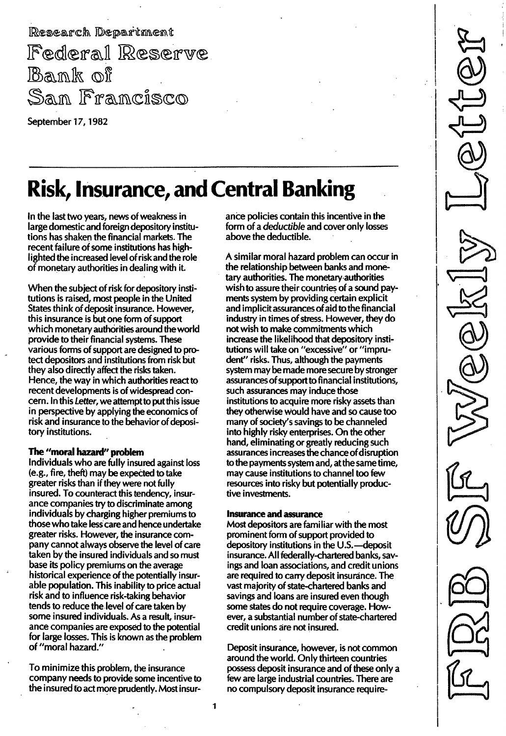Research Department Federal Reserve Bank of San Francisco

September 17, 1982

## Risk, Insurance, and Central Banking

In the last two years, news of weakness in large domestic and foreign depository institutions has shaken the financial markets. The recent failure of some institutions has highlighted the increased level of risk and the role of monetary authorities in dealing with it.

When the subject of risk for depository institutions is raised, most people in the United States think of deposit insurance. However, this insurance is but one form of support which monetary authorities around the world provide to their financial systems. These various forms of support are designed to protect depositors and institutions from risk but they also directly affect the risks taken. Hence, the way in which authorities react to recent developments is of widespread concern. In this Letter, we attempt to put this issue in perspective by applying the economics of risk and insurance to the behavior of depository institutions.

### The "moral hazard" problem

Individuals who are fully insured against loss (e.g., fire, theft) may be expected to take greater risks than if they were not fully insured. To counteract this tendency, insurance companies try to discriminate among individuals by charging higher premiums to those who take lesscare and hence undertake greater risks. However, the insurance company cannot always observe the level of care taken by the insured individuals and so must base its policy premiums on the average historical experience of the potentially insurable population. This inability to price actual risk and to influence risk-taking behavior tends to reduce the level of care taken by some insured individuals. As a result, insurance companies are exposed to the potential for large losses. This is known as the problem of "moral hazard."

To minimize this problem, the insurance company needs to provide some incentive to the insured to act more prudently. Most insurance policies contain this incentive in the form of a deductible and cover only losses above the deductible.

A similar moral hazard problem can occur in the relationship between banks and monetary authorities. The monetary authorities wish to assure their countries of a sound payments system by providing certain explicit and implicit assurances of aid to the financial industry in times of stress. However, they do not wish to make commitments which increase the likelihood that depository institutions will take on "excessive" or "imprudent" risks. Thus, although the payments system may be made more secure by stronger assurances of support to financial institutions, such assurances may induce those institutions to acquire more risky assets than they otherwise would have and so cause too many of society's savings to be channeled into highly risky enterprises. On the other hand, eliminating or greatly reducing such assurances increases the chance of disruption to the payments system and, at the same time, may cause institutions to channel too few resources into risky but potentially productive investments.

### Insurance and assurance

Most depositors are familiar with the most prominent form of support provided to depository institutions in the U.S. - deposit insurance. All federally-chartered banks, savings and loan associations, and credit unions are required to carry deposit insurance. The vast majority of state-chartered banks and savings and loans are insured even though some states do not require coverage. However, a substantial number of state-chartered credit unions are not insured.

Deposit insurance, however, is not common around the world. Only thirteen countries possess deposit insurance and of these only a few are large industrial countries. There are no compulsory deposit insurance require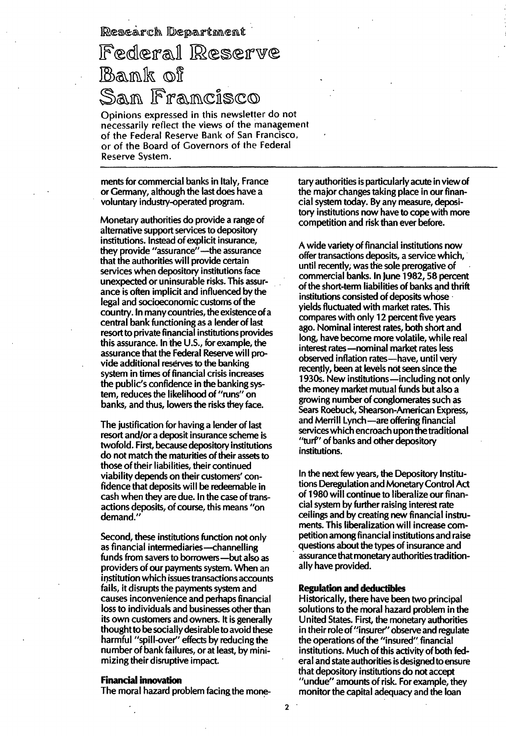Research Department

# Federal Reserve Bank of<br>San Francisco

Opinions expressed in this newsletter do not necessarily reflect the views of the management of the Federal Reserve Bank of San Francisco, or of the Board of Covernors of the Federal Reserve System.

ments for commercial banks in Italy, France or Germany, although the last does have a voluntary industry-operated program.

Monetary authorities do provide a range of alternative support services to depository institutions. Instead of explicit insurance, they provide "assurance"-the assurance that the authorities will provide certain services when depository institutions face unexpected or uninsurable risks. This assurance is often implicit and influenced by the legal and socioeconomic customs of the country. In many countries, the existence ofa central bank functioning as a lender of last resort to private financial institutions provides this assurance. In the U.s., for example, the assurance that the Federal Reserve will provide additional reserves to the banking system in times of financial crisis increases the public's confidence in the banking system, reduces the likelihood of "runs" on banks, and thus, lowers the risks they face.

The justification for having a lender of last resort and/or a deposit insurance scheme is twofold. First, because depository institutions do not match the maturities of their assets to those of their liabilities, their continued viability depends on their customers' confidence that deposits will be redeemable in cash when they are due. In the case of transactions deposits, of course, this means "on demand."

Second, these institutions function not only as financial intermediaries-channelling funds from savers to borrowers-but also as providers of our payments system. When an institution which issues transactions accounts fails, it disrupts the payments system and causes inconvenience and perhaps financial loss to individuals and businesses other than its own customers and owners. It is generally thought to be socially desirable to avoid these harmful "spill-over" effects by reducing the number of bank failures, or at least, by minimizing their disruptive impact.

### Financial innovation

The moral hazard problem facing the mone-

tary authorities is particularly acute in view of the major changes taking place in our financial system today. By any measure, depository institutions now have to cope with more competition and risk than ever before.

A wide variety of financial institutions now offer transactions deposits, a service which, until recently, was the sole prerogative of commercial banks. In June 1982, 58 percent of the short-term liabilities of banks and thrift institutions consisted of deposits whose yields fluctuated with market rates. This compares with only 12 percent five years ago. Nominal interest rates, both short and long, have become more volatile, while real interest rates-nominal market rates less observed inflation rates-have, until very recently, been at levels not seen since the 1930s. New institutions—including not only the money market mutual funds but also a growing number of conglomerates such as Sears Roebuck, Shearson-American Express, and Merrill Lynch-are offering financial services which encroach upon the traditional "turf" of banks and other depository institutions.

In the next few years, the Depository Institutions Deregulation and Monetary Control Act of 1 980 will continue to liberalize our financial system by further raising interest rate ceilings and by creating new financial instruments. This liberalization will increase competition among financial institutions and raise questions about the types of insurance and assurance that monetary authorities traditionally have provided.

#### Regulation and deductibles

Historically, there have been two principal solutions to the moral hazard problem in the United States. First, the monetary authorities in their role of "insurer" observe and regulate the operations of the "insured" financial institutions. Much of this activity of both federal and state authorities is designed to ensure that depository institutions do not accept "undue" amounts of risk. For example, they monitor the capital adequacy and the loan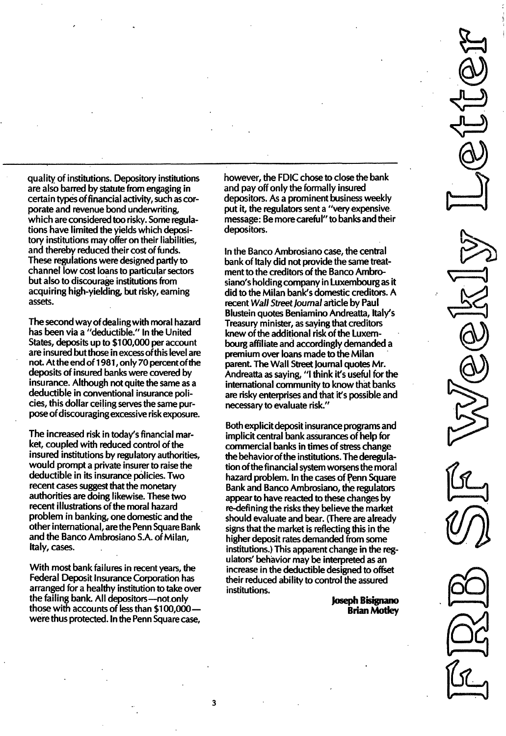quality of institutions. Depository institutions are also barred by statute from engaging in certain types offinancial activity, such as corporate and revenue bond underwriting, which are considered too risky. Some regulations have limited the yields which depository institutions may offer on their liabilities, and thereby reduced their cost of funds. These regulations were designed partly to channel low cost loans to particular sectors but also to discourage institutions from acquiring high-yielding, but risky, earning assets.

The second way of dealing with moral hazard has been via a "deductible." In the United States, deposits up to \$100,000 per account are insured but those in excess of this level are not. At the end of 1 981 , on Iy 70 percent of the deposits of insured banks were covered by insurance. Although not quite the same as a deductible in conventional insurance policies, this dollar ceiling serves the same purpose of discouraging excessive risk exposure.

The increased risk in today's financial market, coupled with reduced control of the insured institutions by regulatory authorities, would prompt a private insurer to raise the deductible in its insurance policies. Two recent cases suggest that the monetary authorities are doing likewise. These two recent illustrations of the moral hazard problem in banking, one domestic and the other international, are the Penn Square Bank and the Banco Ambrosiano S.A. of Milan, Italy, cases.

With most bank failures in recent years, the Federal Deposit Insurance Corporation has arranged for a healthy institution to take over the failing bank. All depositors-not only those with accounts of less than \$100,000were thus protected. In the Penn Square case,

however, the FDIC chose to close the bank and payoff only the formally insured depositors. As a prominent business weekly put it, the regulators sent a "very expensive message: Be more careful" to banks and their depositors.

In the Banco Ambrosiano case, the central bank of Italy did not provide the same treatment to the creditors of the Banco Ambrosiano's holding company in Luxembourg as it did to the Milan bank's domestic creditors. A recent Wall Street Journal article by Paul Blustein quotes Beniamino Andreatta, Italy's Treasury minister, as saying that creditors knew of the additional risk of the Luxembourg affiliate and accordingly demanded a premium over loans made to the Milan parent. The Wall Street Journal quotes Mr. Andreatta as saying, "I think it's useful for the international community to know that banks are risky enterprises and that it's possible and necessary to evaluate risk."

Both explicit deposit insurance programs and implicit central bank assurances of help for commercial banks in times of stress change the behavior of the institutions. The deregulation of the financial system worsens the moral hazard problem. In the cases of Penn Square Bank and Banco Ambrosiano, the regulators appear to have reacted to these changes by re-defining the risks they believe the market should evaluate and bear. (There are already signs that the market is reflecting this in the higher deposit rates demanded from some institutions.) This apparent change in the regulators' behavior may be interpreted as an increase in the deductible designed to offset their reduced ability to control the assured institutions.

> Joseph Bisignano Brian Motley